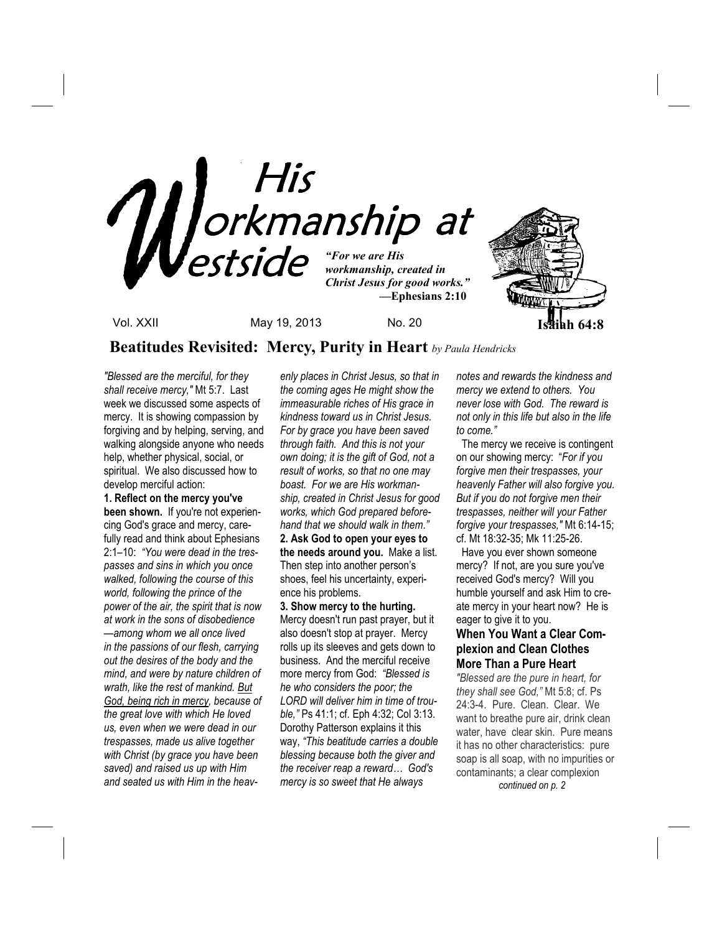

**Beatitudes Revisited: Mercy, Purity in Heart** *by Paula Hendricks*

*"Blessed are the merciful, for they shall receive mercy,"* Mt 5:7. Last week we discussed some aspects of mercy. It is showing compassion by forgiving and by helping, serving, and walking alongside anyone who needs help, whether physical, social, or spiritual. We also discussed how to develop merciful action:

**1. Reflect on the mercy you've been shown.** If you're not experiencing God's grace and mercy, carefully read and think about Ephesians 2:1–10: *"You were dead in the trespasses and sins in which you once walked, following the course of this world, following the prince of the power of the air, the spirit that is now at work in the sons of disobedience —among whom we all once lived in the passions of our flesh, carrying out the desires of the body and the mind, and were by nature children of wrath, like the rest of mankind. But God, being rich in mercy, because of the great love with which He loved us, even when we were dead in our trespasses, made us alive together with Christ (by grace you have been saved) and raised us up with Him and seated us with Him in the heav-*

*enly places in Christ Jesus, so that in the coming ages He might show the immeasurable riches of His grace in kindness toward us in Christ Jesus. For by grace you have been saved through faith. And this is not your own doing; it is the gift of God, not a result of works, so that no one may boast. For we are His workmanship, created in Christ Jesus for good works, which God prepared beforehand that we should walk in them."*

**2. Ask God to open your eyes to the needs around you.** Make a list. Then step into another person's shoes, feel his uncertainty, experience his problems.

**3. Show mercy to the hurting.**  Mercy doesn't run past prayer, but it also doesn't stop at prayer. Mercy rolls up its sleeves and gets down to business. And the merciful receive more mercy from God: *"Blessed is he who considers the poor; the LORD will deliver him in time of trouble,"* Ps 41:1; cf. Eph 4:32; Col 3:13. Dorothy Patterson explains it this way, *"This beatitude carries a double blessing because both the giver and the receiver reap a reward… God's mercy is so sweet that He always* 

*notes and rewards the kindness and mercy we extend to others. You never lose with God. The reward is not only in this life but also in the life to come."* 

 The mercy we receive is contingent on our showing mercy: "*For if you forgive men their trespasses, your heavenly Father will also forgive you. But if you do not forgive men their trespasses, neither will your Father forgive your trespasses,"* Mt 6:14-15; cf. Mt 18:32-35; Mk 11:25-26.

 Have you ever shown someone mercy? If not, are you sure you've received God's mercy? Will you humble yourself and ask Him to create mercy in your heart now? He is eager to give it to you.

## **When You Want a Clear Complexion and Clean Clothes More Than a Pure Heart**

*"Blessed are the pure in heart, for they shall see God,"* Mt 5:8; cf. Ps 24:3-4. Pure. Clean. Clear. We want to breathe pure air, drink clean water, have clear skin. Pure means it has no other characteristics: pure soap is all soap, with no impurities or contaminants; a clear complexion  *continued on p. 2*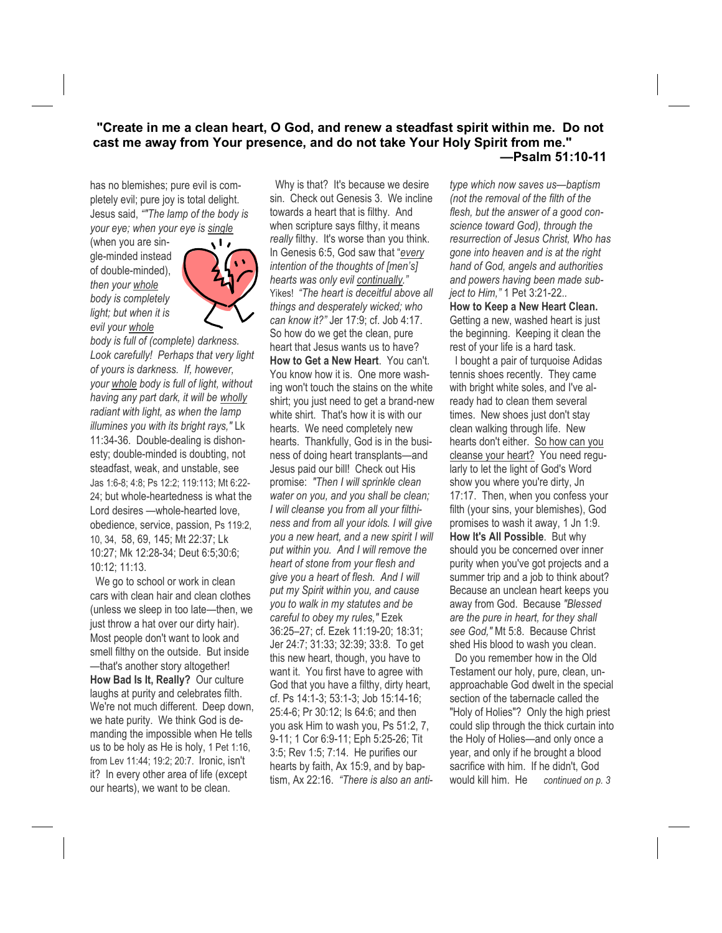### **"Create in me a clean heart, O God, and renew a steadfast spirit within me. Do not cast me away from Your presence, and do not take Your Holy Spirit from me." —Psalm 51:10-11**

has no blemishes; pure evil is completely evil; pure joy is total delight. Jesus said, *""The lamp of the body is your eye; when your eye is single*

(when you are single-minded instead of double-minded), *then your whole body is completely light; but when it is evil your whole*



*body is full of (complete) darkness. Look carefully! Perhaps that very light of yours is darkness. If, however, your whole body is full of light, without having any part dark, it will be wholly radiant with light, as when the lamp illumines you with its bright rays,"* Lk 11:34-36. Double-dealing is dishonesty; double-minded is doubting, not steadfast, weak, and unstable, see Jas 1:6-8; 4:8; Ps 12:2; 119:113; Mt 6:22- 24; but whole-heartedness is what the Lord desires —whole-hearted love, obedience, service, passion, Ps 119:2, 10, 34, 58, 69, 145; Mt 22:37; Lk 10:27; Mk 12:28-34; Deut 6:5;30:6; 10:12; 11:13.

We go to school or work in clean cars with clean hair and clean clothes (unless we sleep in too late—then, we just throw a hat over our dirty hair). Most people don't want to look and smell filthy on the outside. But inside —that's another story altogether! **How Bad Is It, Really?** Our culture laughs at purity and celebrates filth. We're not much different. Deep down, we hate purity. We think God is demanding the impossible when He tells us to be holy as He is holy, 1 Pet 1:16, from Lev 11:44; 19:2; 20:7. Ironic, isn't it? In every other area of life (except our hearts), we want to be clean.

 Why is that? It's because we desire sin. Check out Genesis 3. We incline towards a heart that is filthy. And when scripture says filthy, it means *really* filthy. It's worse than you think. In Genesis 6:5, God saw that "*every intention of the thoughts of [men's] hearts was only evil continually."*  Yikes! *"The heart is deceitful above all things and desperately wicked; who can know it?"* Jer 17:9; cf. Job 4:17. So how do we get the clean, pure heart that Jesus wants us to have? **How to Get a New Heart**. You can't. You know how it is. One more washing won't touch the stains on the white shirt; you just need to get a brand-new white shirt. That's how it is with our hearts. We need completely new hearts. Thankfully, God is in the business of doing heart transplants—and Jesus paid our bill! Check out His promise: *"Then I will sprinkle clean water on you, and you shall be clean; I will cleanse you from all your filthiness and from all your idols. I will give you a new heart, and a new spirit I will put within you. And I will remove the heart of stone from your flesh and give you a heart of flesh. And I will put my Spirit within you, and cause you to walk in my statutes and be careful to obey my rules,"* Ezek 36:25–27; cf. Ezek 11:19-20; 18:31; Jer 24:7; 31:33; 32:39; 33:8. To get this new heart, though, you have to want it. You first have to agree with God that you have a filthy, dirty heart, cf. Ps 14:1-3; 53:1-3; Job 15:14-16; 25:4-6; Pr 30:12; Is 64:6; and then you ask Him to wash you, Ps 51:2, 7, 9-11; 1 Cor 6:9-11; Eph 5:25-26; Tit 3:5; Rev 1:5; 7:14. He purifies our hearts by faith, Ax 15:9, and by baptism, Ax 22:16. *"There is also an anti-* *type which now saves us—baptism (not the removal of the filth of the flesh, but the answer of a good conscience toward God), through the resurrection of Jesus Christ, Who has gone into heaven and is at the right hand of God, angels and authorities and powers having been made subject to Him,"* 1 Pet 3:21-22.*.* 

**How to Keep a New Heart Clean.**  Getting a new, washed heart is just the beginning. Keeping it clean the rest of your life is a hard task.

 I bought a pair of turquoise Adidas tennis shoes recently. They came with bright white soles, and I've already had to clean them several times. New shoes just don't stay clean walking through life. New hearts don't either. So how can you cleanse your heart? You need regularly to let the light of God's Word show you where you're dirty, Jn 17:17. Then, when you confess your filth (your sins, your blemishes), God promises to wash it away, 1 Jn 1:9. **How It's All Possible**. But why should you be concerned over inner purity when you've got projects and a summer trip and a job to think about? Because an unclean heart keeps you away from God. Because *"Blessed are the pure in heart, for they shall see God,"* Mt 5:8. Because Christ shed His blood to wash you clean.

 Do you remember how in the Old Testament our holy, pure, clean, unapproachable God dwelt in the special section of the tabernacle called the "Holy of Holies"? Only the high priest could slip through the thick curtain into the Holy of Holies—and only once a year, and only if he brought a blood sacrifice with him. If he didn't, God would kill him. He *continued on p. 3*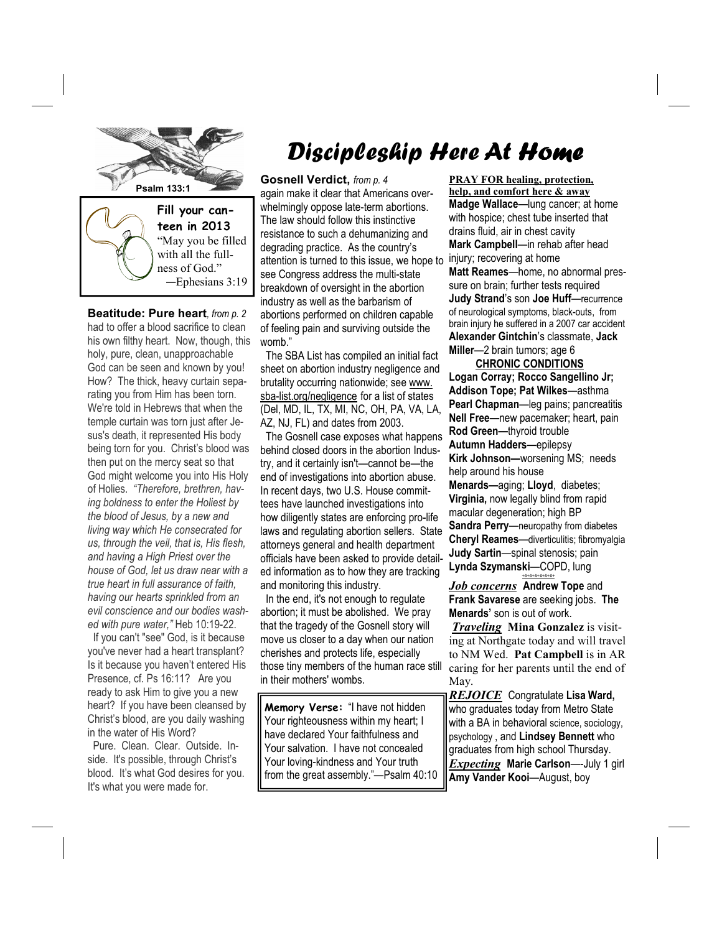

**Beatitude: Pure heart***, from p. 2* had to offer a blood sacrifice to clean his own filthy heart. Now, though, this holy, pure, clean, unapproachable God can be seen and known by you! How? The thick, heavy curtain separating you from Him has been torn. We're told in Hebrews that when the temple curtain was torn just after Jesus's death, it represented His body being torn for you. Christ's blood was then put on the mercy seat so that God might welcome you into His Holy of Holies. *"Therefore, brethren, having boldness to enter the Holiest by the blood of Jesus, by a new and living way which He consecrated for us, through the veil, that is, His flesh, and having a High Priest over the house of God, let us draw near with a true heart in full assurance of faith, having our hearts sprinkled from an evil conscience and our bodies washed with pure water,"* Heb 10:19-22.

 If you can't "see" God, is it because you've never had a heart transplant? Is it because you haven't entered His Presence, cf. Ps 16:11? Are you ready to ask Him to give you a new heart? If you have been cleansed by Christ's blood, are you daily washing in the water of His Word?

 Pure. Clean. Clear. Outside. Inside. It's possible, through Christ's blood. It's what God desires for you. It's what you were made for.

# Discipleship Here At Home

**Gosnell Verdict,** *from p. 4*  again make it clear that Americans overwhelmingly oppose late-term abortions. The law should follow this instinctive resistance to such a dehumanizing and degrading practice. As the country's attention is turned to this issue, we hope to see Congress address the multi-state breakdown of oversight in the abortion industry as well as the barbarism of abortions performed on children capable of feeling pain and surviving outside the womb."

 The SBA List has compiled an initial fact sheet on abortion industry negligence and brutality occurring nationwide; see www. sba-list.org/negligence for a list of states (Del, MD, IL, TX, MI, NC, OH, PA, VA, LA, AZ, NJ, FL) and dates from 2003.

 The Gosnell case exposes what happens behind closed doors in the abortion Industry, and it certainly isn't—cannot be—the end of investigations into abortion abuse. In recent days, two U.S. House committees have launched investigations into how diligently states are enforcing pro-life laws and regulating abortion sellers. State attorneys general and health department officials have been asked to provide detailed information as to how they are tracking and monitoring this industry.

 In the end, it's not enough to regulate abortion; it must be abolished. We pray that the tragedy of the Gosnell story will move us closer to a day when our nation cherishes and protects life, especially those tiny members of the human race still in their mothers' wombs.

**Memory Verse:** "I have not hidden Your righteousness within my heart; I have declared Your faithfulness and Your salvation. I have not concealed Your loving-kindness and Your truth from the great assembly."—Psalm 40:10

**PRAY FOR healing, protection, help, and comfort here & away Madge Wallace—**lung cancer; at home with hospice; chest tube inserted that drains fluid, air in chest cavity **Mark Campbell**—in rehab after head injury; recovering at home **Matt Reames**—home, no abnormal pressure on brain; further tests required **Judy Strand**'s son **Joe Huff**—recurrence of neurological symptoms, black-outs, from brain injury he suffered in a 2007 car accident **Alexander Gintchin**'s classmate, **Jack Miller**—2 brain tumors; age 6

 **CHRONIC CONDITIONS Logan Corray; Rocco Sangellino Jr; Addison Tope; Pat Wilkes**—asthma **Pearl Chapman**—leg pains; pancreatitis **Nell Free—**new pacemaker; heart, pain **Rod Green—**thyroid trouble **Autumn Hadders—**epilepsy **Kirk Johnson—**worsening MS; needs help around his house **Menards—**aging; **Lloyd**, diabetes; **Virginia,** now legally blind from rapid macular degeneration; high BP **Sandra Perry**—neuropathy from diabetes **Cheryl Reames**—diverticulitis; fibromyalgia **Judy Sartin**—spinal stenosis; pain **Lynda Szymanski**—COPD, lung

*Job concerns* **Andrew Tope** and **Frank Savarese** are seeking jobs. **The Menards'** son is out of work.

*+#+#+#+#+#+#+*

*Traveling* **Mina Gonzalez** is visiting at Northgate today and will travel to NM Wed. **Pat Campbell** is in AR caring for her parents until the end of May.

*REJOICE* Congratulate **Lisa Ward,**  who graduates today from Metro State with a BA in behavioral science, sociology, psychology , and **Lindsey Bennett** who graduates from high school Thursday. *Expecting* **Marie Carlson**—-July 1 girl **Amy Vander Kooi**—August, boy